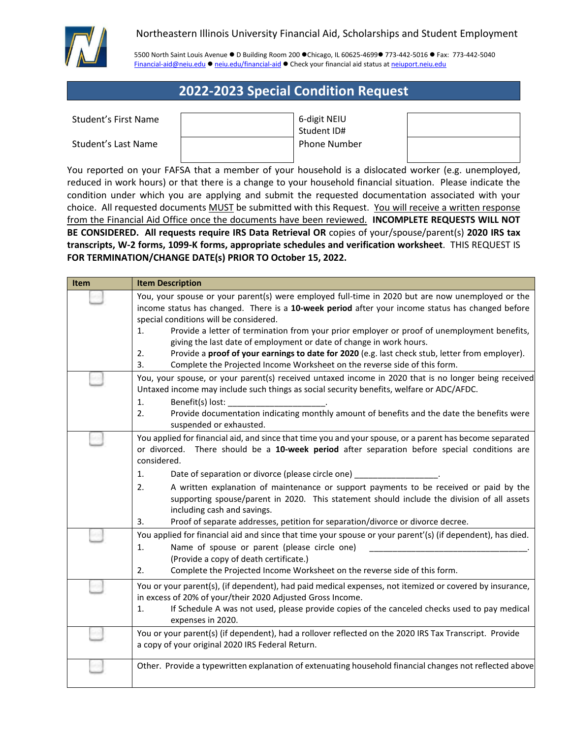

## Northeastern Illinois University Financial Aid, Scholarships and Student Employment

5500 North Saint Louis Avenue D Building Room 200 Chicago, IL 60625-4699 773-442-5016 Fax: 773-442-5040 [Financial-aid@neiu.edu](mailto:Financial-aid@neiu.edu) · [neiu.edu/financial-aid](http://www.neiu.edu/financial-aid) · Check your financial aid status at [neiuport.neiu.edu](https://neiuport.neiu.edu/cp/home/displaylogin)

## **2022-2023 Special Condition Request**

| <b>Student's First Name</b> |  | 6-digit NEIU |
|-----------------------------|--|--------------|
|-----------------------------|--|--------------|

Student's Last Name

| 6-digit NEIU |  |
|--------------|--|
| Student ID#  |  |
| Phone Number |  |
|              |  |

You reported on your FAFSA that a member of your household is a dislocated worker (e.g. unemployed, reduced in work hours) or that there is a change to your household financial situation. Please indicate the condition under which you are applying and submit the requested documentation associated with your choice. All requested documents MUST be submitted with this Request. You will receive a written response from the Financial Aid Office once the documents have been reviewed. **INCOMPLETE REQUESTS WILL NOT BE CONSIDERED. All requests require IRS Data Retrieval OR** copies of your/spouse/parent(s) **2020 IRS tax transcripts, W-2 forms, 1099-K forms, appropriate schedules and verification worksheet**. THIS REQUEST IS **FOR TERMINATION/CHANGE DATE(s) PRIOR TO October 15, 2022.**

| <b>Item</b> | <b>Item Description</b>                                                                                                                                                                                                                                                                                                                                                                                                                                                                                                                                                                                                |
|-------------|------------------------------------------------------------------------------------------------------------------------------------------------------------------------------------------------------------------------------------------------------------------------------------------------------------------------------------------------------------------------------------------------------------------------------------------------------------------------------------------------------------------------------------------------------------------------------------------------------------------------|
|             | You, your spouse or your parent(s) were employed full-time in 2020 but are now unemployed or the<br>income status has changed. There is a 10-week period after your income status has changed before<br>special conditions will be considered.<br>Provide a letter of termination from your prior employer or proof of unemployment benefits,<br>1.<br>giving the last date of employment or date of change in work hours.<br>Provide a proof of your earnings to date for 2020 (e.g. last check stub, letter from employer).<br>2.<br>3.<br>Complete the Projected Income Worksheet on the reverse side of this form. |
|             | You, your spouse, or your parent(s) received untaxed income in 2020 that is no longer being received<br>Untaxed income may include such things as social security benefits, welfare or ADC/AFDC.<br>1.<br>Benefit(s) lost:<br>Provide documentation indicating monthly amount of benefits and the date the benefits were<br>2.<br>suspended or exhausted.                                                                                                                                                                                                                                                              |
|             | You applied for financial aid, and since that time you and your spouse, or a parent has become separated<br>There should be a 10-week period after separation before special conditions are<br>or divorced.<br>considered.<br>Date of separation or divorce (please circle one) __________<br>1.<br>A written explanation of maintenance or support payments to be received or paid by the<br>2.<br>supporting spouse/parent in 2020. This statement should include the division of all assets<br>including cash and savings.<br>Proof of separate addresses, petition for separation/divorce or divorce decree.<br>3. |
|             | You applied for financial aid and since that time your spouse or your parent'(s) (if dependent), has died.<br>Name of spouse or parent (please circle one)<br>1.<br>(Provide a copy of death certificate.)<br>Complete the Projected Income Worksheet on the reverse side of this form.<br>2.                                                                                                                                                                                                                                                                                                                          |
|             | You or your parent(s), (if dependent), had paid medical expenses, not itemized or covered by insurance,<br>in excess of 20% of your/their 2020 Adjusted Gross Income.<br>If Schedule A was not used, please provide copies of the canceled checks used to pay medical<br>1.<br>expenses in 2020.                                                                                                                                                                                                                                                                                                                       |
|             | You or your parent(s) (if dependent), had a rollover reflected on the 2020 IRS Tax Transcript. Provide<br>a copy of your original 2020 IRS Federal Return.                                                                                                                                                                                                                                                                                                                                                                                                                                                             |
|             | Other. Provide a typewritten explanation of extenuating household financial changes not reflected above                                                                                                                                                                                                                                                                                                                                                                                                                                                                                                                |